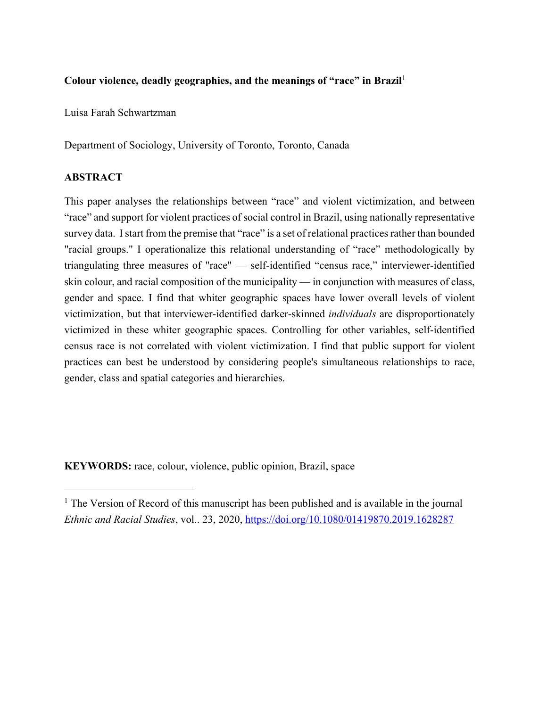# **Colour violence, deadly geographies, and the meanings of "race" in Brazil** 1

Luisa Farah Schwartzman

Department of Sociology, University of Toronto, Toronto, Canada

# **ABSTRACT**

This paper analyses the relationships between "race" and violent victimization, and between "race" and support for violent practices of social control in Brazil, using nationally representative survey data. I start from the premise that "race" is a set of relational practices rather than bounded "racial groups." I operationalize this relational understanding of "race" methodologically by triangulating three measures of "race" — self-identified "census race," interviewer-identified skin colour, and racial composition of the municipality — in conjunction with measures of class, gender and space. I find that whiter geographic spaces have lower overall levels of violent victimization, but that interviewer-identified darker-skinned *individuals* are disproportionately victimized in these whiter geographic spaces. Controlling for other variables, self-identified census race is not correlated with violent victimization. I find that public support for violent practices can best be understood by considering people's simultaneous relationships to race, gender, class and spatial categories and hierarchies.

**KEYWORDS:** race, colour, violence, public opinion, Brazil, space

 $<sup>1</sup>$  The Version of Record of this manuscript has been published and is available in the journal</sup> *Ethnic and Racial Studies*, vol.. 23, 2020, https://doi.org/10.1080/01419870.2019.1628287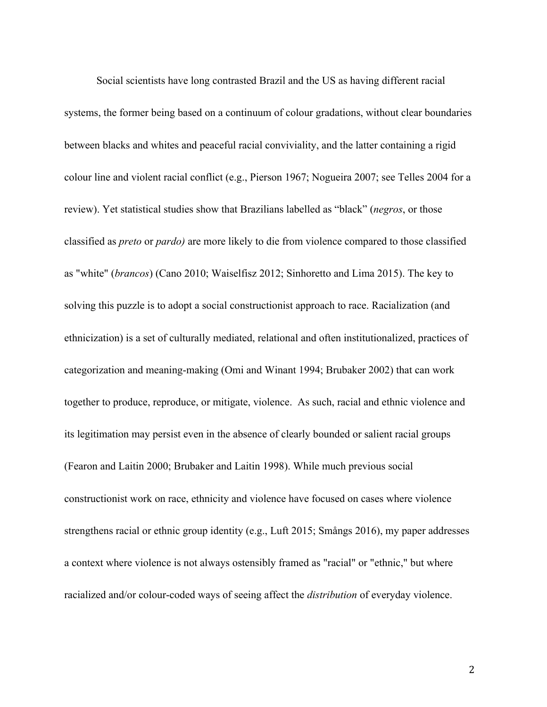Social scientists have long contrasted Brazil and the US as having different racial systems, the former being based on a continuum of colour gradations, without clear boundaries between blacks and whites and peaceful racial conviviality, and the latter containing a rigid colour line and violent racial conflict (e.g., Pierson 1967; Nogueira 2007; see Telles 2004 for a review). Yet statistical studies show that Brazilians labelled as "black" (*negros*, or those classified as *preto* or *pardo)* are more likely to die from violence compared to those classified as "white" (*brancos*) (Cano 2010; Waiselfisz 2012; Sinhoretto and Lima 2015). The key to solving this puzzle is to adopt a social constructionist approach to race. Racialization (and ethnicization) is a set of culturally mediated, relational and often institutionalized, practices of categorization and meaning-making (Omi and Winant 1994; Brubaker 2002) that can work together to produce, reproduce, or mitigate, violence. As such, racial and ethnic violence and its legitimation may persist even in the absence of clearly bounded or salient racial groups (Fearon and Laitin 2000; Brubaker and Laitin 1998). While much previous social constructionist work on race, ethnicity and violence have focused on cases where violence strengthens racial or ethnic group identity (e.g., Luft 2015; Smångs 2016), my paper addresses a context where violence is not always ostensibly framed as "racial" or "ethnic," but where racialized and/or colour-coded ways of seeing affect the *distribution* of everyday violence.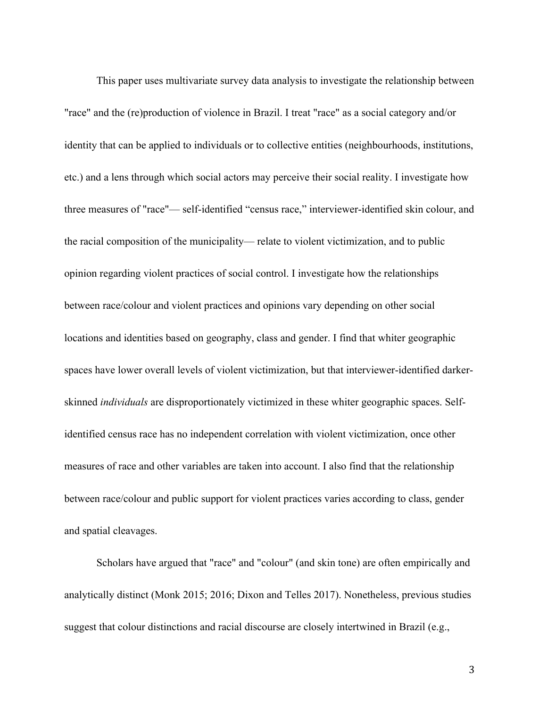This paper uses multivariate survey data analysis to investigate the relationship between "race" and the (re)production of violence in Brazil. I treat "race" as a social category and/or identity that can be applied to individuals or to collective entities (neighbourhoods, institutions, etc.) and a lens through which social actors may perceive their social reality. I investigate how three measures of "race"— self-identified "census race," interviewer-identified skin colour, and the racial composition of the municipality— relate to violent victimization, and to public opinion regarding violent practices of social control. I investigate how the relationships between race/colour and violent practices and opinions vary depending on other social locations and identities based on geography, class and gender. I find that whiter geographic spaces have lower overall levels of violent victimization, but that interviewer-identified darkerskinned *individuals* are disproportionately victimized in these whiter geographic spaces. Selfidentified census race has no independent correlation with violent victimization, once other measures of race and other variables are taken into account. I also find that the relationship between race/colour and public support for violent practices varies according to class, gender and spatial cleavages.

Scholars have argued that "race" and "colour" (and skin tone) are often empirically and analytically distinct (Monk 2015; 2016; Dixon and Telles 2017). Nonetheless, previous studies suggest that colour distinctions and racial discourse are closely intertwined in Brazil (e.g.,

3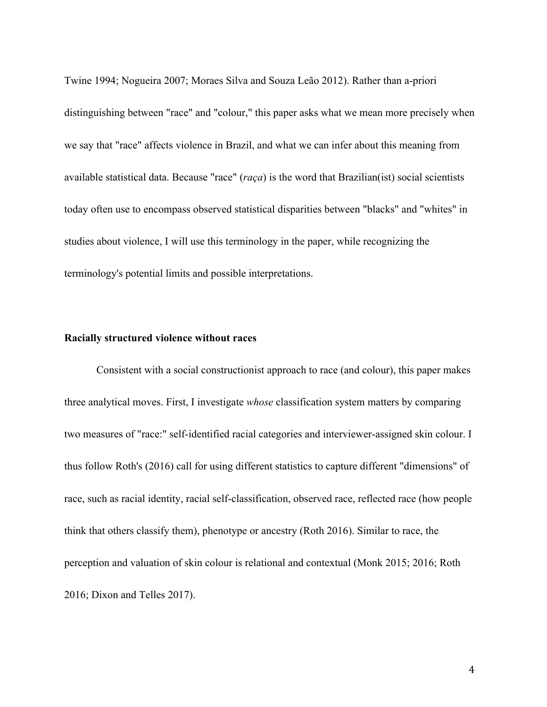Twine 1994; Nogueira 2007; Moraes Silva and Souza Leão 2012). Rather than a-priori distinguishing between "race" and "colour," this paper asks what we mean more precisely when we say that "race" affects violence in Brazil, and what we can infer about this meaning from available statistical data. Because "race" (*raça*) is the word that Brazilian(ist) social scientists today often use to encompass observed statistical disparities between "blacks" and "whites" in studies about violence, I will use this terminology in the paper, while recognizing the terminology's potential limits and possible interpretations.

#### **Racially structured violence without races**

Consistent with a social constructionist approach to race (and colour), this paper makes three analytical moves. First, I investigate *whose* classification system matters by comparing two measures of "race:" self-identified racial categories and interviewer-assigned skin colour. I thus follow Roth's (2016) call for using different statistics to capture different "dimensions" of race, such as racial identity, racial self-classification, observed race, reflected race (how people think that others classify them), phenotype or ancestry (Roth 2016). Similar to race, the perception and valuation of skin colour is relational and contextual (Monk 2015; 2016; Roth 2016; Dixon and Telles 2017).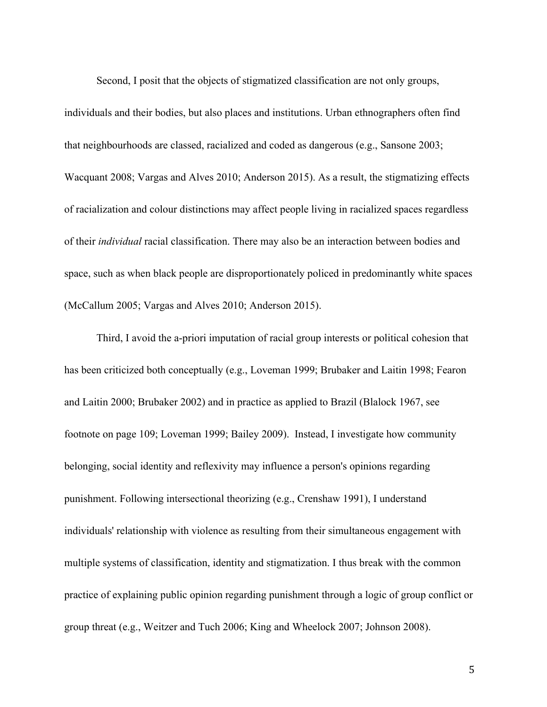Second, I posit that the objects of stigmatized classification are not only groups, individuals and their bodies, but also places and institutions. Urban ethnographers often find that neighbourhoods are classed, racialized and coded as dangerous (e.g., Sansone 2003; Wacquant 2008; Vargas and Alves 2010; Anderson 2015). As a result, the stigmatizing effects of racialization and colour distinctions may affect people living in racialized spaces regardless of their *individual* racial classification. There may also be an interaction between bodies and space, such as when black people are disproportionately policed in predominantly white spaces (McCallum 2005; Vargas and Alves 2010; Anderson 2015).

Third, I avoid the a-priori imputation of racial group interests or political cohesion that has been criticized both conceptually (e.g., Loveman 1999; Brubaker and Laitin 1998; Fearon and Laitin 2000; Brubaker 2002) and in practice as applied to Brazil (Blalock 1967, see footnote on page 109; Loveman 1999; Bailey 2009). Instead, I investigate how community belonging, social identity and reflexivity may influence a person's opinions regarding punishment. Following intersectional theorizing (e.g., Crenshaw 1991), I understand individuals' relationship with violence as resulting from their simultaneous engagement with multiple systems of classification, identity and stigmatization. I thus break with the common practice of explaining public opinion regarding punishment through a logic of group conflict or group threat (e.g., Weitzer and Tuch 2006; King and Wheelock 2007; Johnson 2008).

5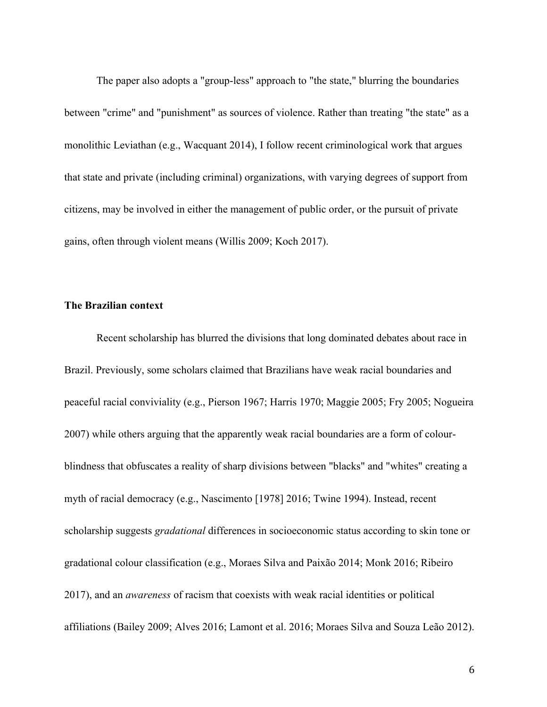The paper also adopts a "group-less" approach to "the state," blurring the boundaries between "crime" and "punishment" as sources of violence. Rather than treating "the state" as a monolithic Leviathan (e.g., Wacquant 2014), I follow recent criminological work that argues that state and private (including criminal) organizations, with varying degrees of support from citizens, may be involved in either the management of public order, or the pursuit of private gains, often through violent means (Willis 2009; Koch 2017).

### **The Brazilian context**

Recent scholarship has blurred the divisions that long dominated debates about race in Brazil. Previously, some scholars claimed that Brazilians have weak racial boundaries and peaceful racial conviviality (e.g., Pierson 1967; Harris 1970; Maggie 2005; Fry 2005; Nogueira 2007) while others arguing that the apparently weak racial boundaries are a form of colourblindness that obfuscates a reality of sharp divisions between "blacks" and "whites" creating a myth of racial democracy (e.g., Nascimento [1978] 2016; Twine 1994). Instead, recent scholarship suggests *gradational* differences in socioeconomic status according to skin tone or gradational colour classification (e.g., Moraes Silva and Paixão 2014; Monk 2016; Ribeiro 2017), and an *awareness* of racism that coexists with weak racial identities or political affiliations (Bailey 2009; Alves 2016; Lamont et al. 2016; Moraes Silva and Souza Leão 2012).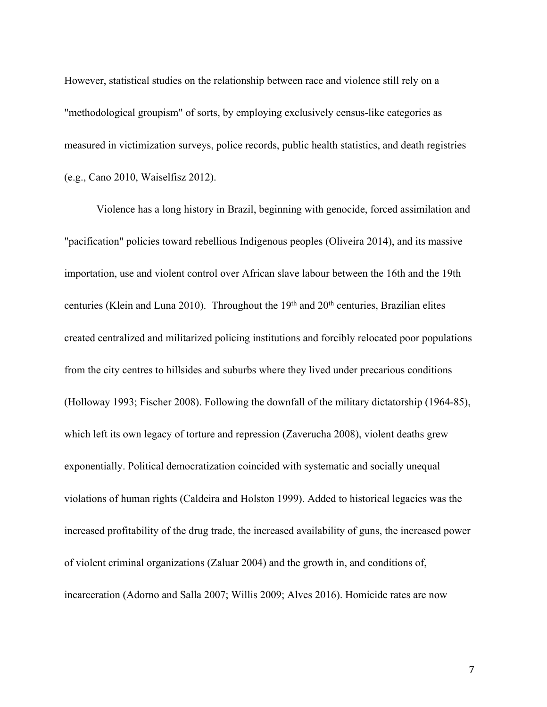However, statistical studies on the relationship between race and violence still rely on a "methodological groupism" of sorts, by employing exclusively census-like categories as measured in victimization surveys, police records, public health statistics, and death registries (e.g., Cano 2010, Waiselfisz 2012).

Violence has a long history in Brazil, beginning with genocide, forced assimilation and "pacification" policies toward rebellious Indigenous peoples (Oliveira 2014), and its massive importation, use and violent control over African slave labour between the 16th and the 19th centuries (Klein and Luna 2010). Throughout the  $19<sup>th</sup>$  and  $20<sup>th</sup>$  centuries, Brazilian elites created centralized and militarized policing institutions and forcibly relocated poor populations from the city centres to hillsides and suburbs where they lived under precarious conditions (Holloway 1993; Fischer 2008). Following the downfall of the military dictatorship (1964-85), which left its own legacy of torture and repression (Zaverucha 2008), violent deaths grew exponentially. Political democratization coincided with systematic and socially unequal violations of human rights (Caldeira and Holston 1999). Added to historical legacies was the increased profitability of the drug trade, the increased availability of guns, the increased power of violent criminal organizations (Zaluar 2004) and the growth in, and conditions of, incarceration (Adorno and Salla 2007; Willis 2009; Alves 2016). Homicide rates are now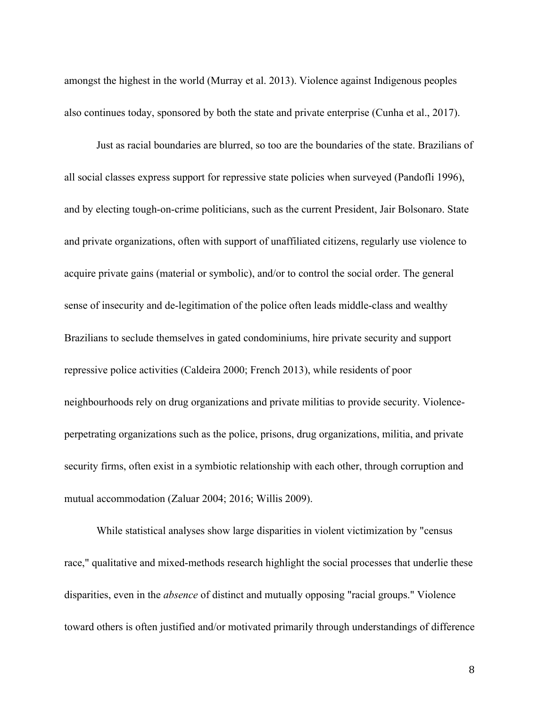amongst the highest in the world (Murray et al. 2013). Violence against Indigenous peoples also continues today, sponsored by both the state and private enterprise (Cunha et al., 2017).

Just as racial boundaries are blurred, so too are the boundaries of the state. Brazilians of all social classes express support for repressive state policies when surveyed (Pandofli 1996), and by electing tough-on-crime politicians, such as the current President, Jair Bolsonaro. State and private organizations, often with support of unaffiliated citizens, regularly use violence to acquire private gains (material or symbolic), and/or to control the social order. The general sense of insecurity and de-legitimation of the police often leads middle-class and wealthy Brazilians to seclude themselves in gated condominiums, hire private security and support repressive police activities (Caldeira 2000; French 2013), while residents of poor neighbourhoods rely on drug organizations and private militias to provide security. Violenceperpetrating organizations such as the police, prisons, drug organizations, militia, and private security firms, often exist in a symbiotic relationship with each other, through corruption and mutual accommodation (Zaluar 2004; 2016; Willis 2009).

While statistical analyses show large disparities in violent victimization by "census race," qualitative and mixed-methods research highlight the social processes that underlie these disparities, even in the *absence* of distinct and mutually opposing "racial groups." Violence toward others is often justified and/or motivated primarily through understandings of difference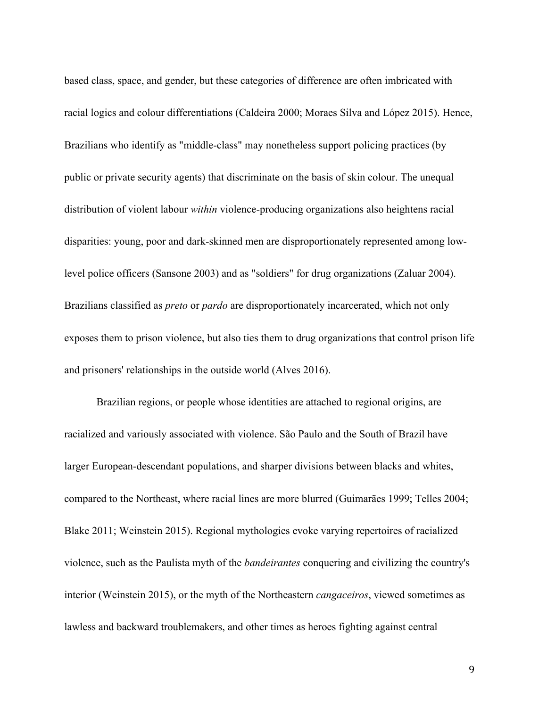based class, space, and gender, but these categories of difference are often imbricated with racial logics and colour differentiations (Caldeira 2000; Moraes Silva and López 2015). Hence, Brazilians who identify as "middle-class" may nonetheless support policing practices (by public or private security agents) that discriminate on the basis of skin colour. The unequal distribution of violent labour *within* violence-producing organizations also heightens racial disparities: young, poor and dark-skinned men are disproportionately represented among lowlevel police officers (Sansone 2003) and as "soldiers" for drug organizations (Zaluar 2004). Brazilians classified as *preto* or *pardo* are disproportionately incarcerated, which not only exposes them to prison violence, but also ties them to drug organizations that control prison life and prisoners' relationships in the outside world (Alves 2016).

Brazilian regions, or people whose identities are attached to regional origins, are racialized and variously associated with violence. São Paulo and the South of Brazil have larger European-descendant populations, and sharper divisions between blacks and whites, compared to the Northeast, where racial lines are more blurred (Guimarães 1999; Telles 2004; Blake 2011; Weinstein 2015). Regional mythologies evoke varying repertoires of racialized violence, such as the Paulista myth of the *bandeirantes* conquering and civilizing the country's interior (Weinstein 2015), or the myth of the Northeastern *cangaceiros*, viewed sometimes as lawless and backward troublemakers, and other times as heroes fighting against central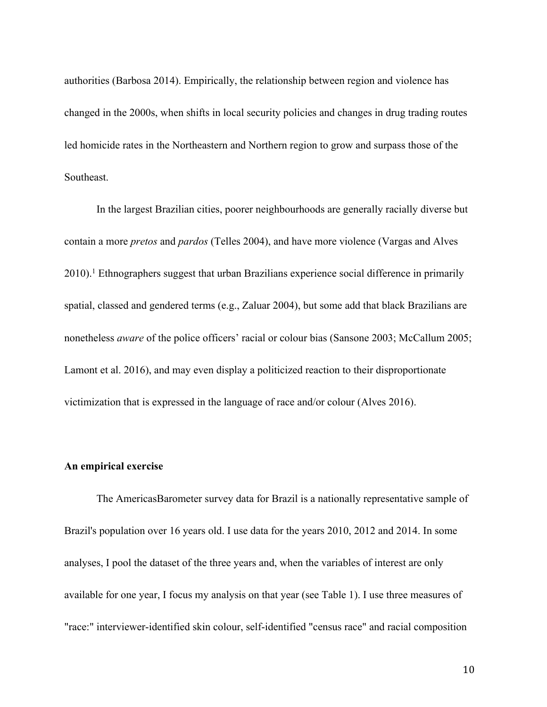authorities (Barbosa 2014). Empirically, the relationship between region and violence has changed in the 2000s, when shifts in local security policies and changes in drug trading routes led homicide rates in the Northeastern and Northern region to grow and surpass those of the Southeast.

In the largest Brazilian cities, poorer neighbourhoods are generally racially diverse but contain a more *pretos* and *pardos* (Telles 2004), and have more violence (Vargas and Alves  $2010$ .<sup>1</sup> Ethnographers suggest that urban Brazilians experience social difference in primarily spatial, classed and gendered terms (e.g., Zaluar 2004), but some add that black Brazilians are nonetheless *aware* of the police officers' racial or colour bias (Sansone 2003; McCallum 2005; Lamont et al. 2016), and may even display a politicized reaction to their disproportionate victimization that is expressed in the language of race and/or colour (Alves 2016).

### **An empirical exercise**

The AmericasBarometer survey data for Brazil is a nationally representative sample of Brazil's population over 16 years old. I use data for the years 2010, 2012 and 2014. In some analyses, I pool the dataset of the three years and, when the variables of interest are only available for one year, I focus my analysis on that year (see Table 1). I use three measures of "race:" interviewer-identified skin colour, self-identified "census race" and racial composition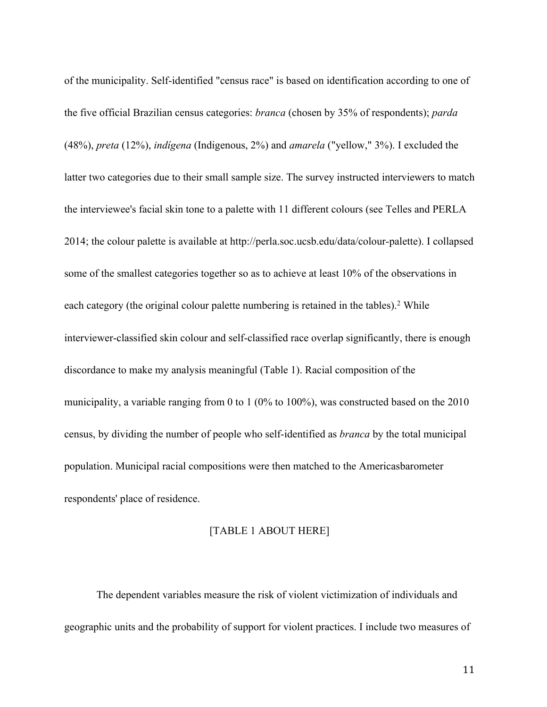of the municipality. Self-identified "census race" is based on identification according to one of the five official Brazilian census categories: *branca* (chosen by 35% of respondents); *parda*  (48%), *preta* (12%), *indígena* (Indigenous, 2%) and *amarela* ("yellow," 3%). I excluded the latter two categories due to their small sample size. The survey instructed interviewers to match the interviewee's facial skin tone to a palette with 11 different colours (see Telles and PERLA 2014; the colour palette is available at http://perla.soc.ucsb.edu/data/colour-palette). I collapsed some of the smallest categories together so as to achieve at least 10% of the observations in each category (the original colour palette numbering is retained in the tables).<sup>2</sup> While interviewer-classified skin colour and self-classified race overlap significantly, there is enough discordance to make my analysis meaningful (Table 1). Racial composition of the municipality, a variable ranging from 0 to 1 (0% to 100%), was constructed based on the 2010 census, by dividing the number of people who self-identified as *branca* by the total municipal population. Municipal racial compositions were then matched to the Americasbarometer respondents' place of residence.

### [TABLE 1 ABOUT HERE]

The dependent variables measure the risk of violent victimization of individuals and geographic units and the probability of support for violent practices. I include two measures of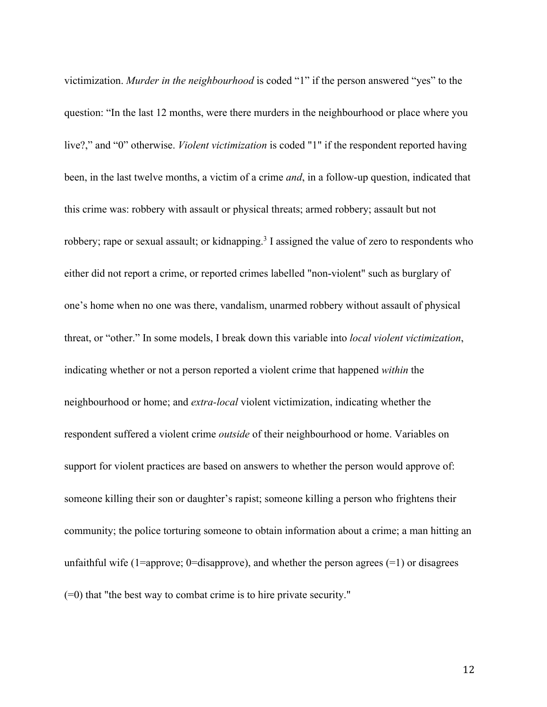victimization. *Murder in the neighbourhood* is coded "1" if the person answered "yes" to the question: "In the last 12 months, were there murders in the neighbourhood or place where you live?," and "0" otherwise. *Violent victimization* is coded "1" if the respondent reported having been, in the last twelve months, a victim of a crime *and*, in a follow-up question, indicated that this crime was: robbery with assault or physical threats; armed robbery; assault but not robbery; rape or sexual assault; or kidnapping.<sup>3</sup> I assigned the value of zero to respondents who either did not report a crime, or reported crimes labelled "non-violent" such as burglary of one's home when no one was there, vandalism, unarmed robbery without assault of physical threat, or "other." In some models, I break down this variable into *local violent victimization*, indicating whether or not a person reported a violent crime that happened *within* the neighbourhood or home; and *extra-local* violent victimization, indicating whether the respondent suffered a violent crime *outside* of their neighbourhood or home. Variables on support for violent practices are based on answers to whether the person would approve of: someone killing their son or daughter's rapist; someone killing a person who frightens their community; the police torturing someone to obtain information about a crime; a man hitting an unfaithful wife (1=approve; 0=disapprove), and whether the person agrees  $(=1)$  or disagrees (=0) that "the best way to combat crime is to hire private security."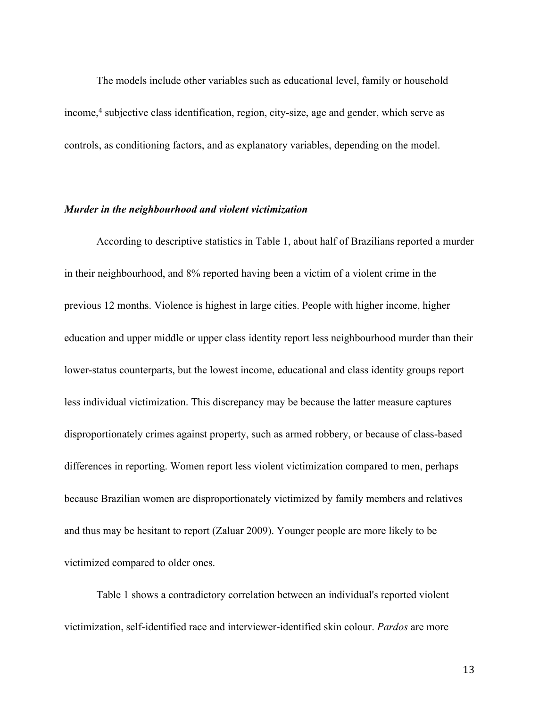The models include other variables such as educational level, family or household income, <sup>4</sup> subjective class identification, region, city-size, age and gender, which serve as controls, as conditioning factors, and as explanatory variables, depending on the model.

#### *Murder in the neighbourhood and violent victimization*

According to descriptive statistics in Table 1, about half of Brazilians reported a murder in their neighbourhood, and 8% reported having been a victim of a violent crime in the previous 12 months. Violence is highest in large cities. People with higher income, higher education and upper middle or upper class identity report less neighbourhood murder than their lower-status counterparts, but the lowest income, educational and class identity groups report less individual victimization. This discrepancy may be because the latter measure captures disproportionately crimes against property, such as armed robbery, or because of class-based differences in reporting. Women report less violent victimization compared to men, perhaps because Brazilian women are disproportionately victimized by family members and relatives and thus may be hesitant to report (Zaluar 2009). Younger people are more likely to be victimized compared to older ones.

Table 1 shows a contradictory correlation between an individual's reported violent victimization, self-identified race and interviewer-identified skin colour. *Pardos* are more

13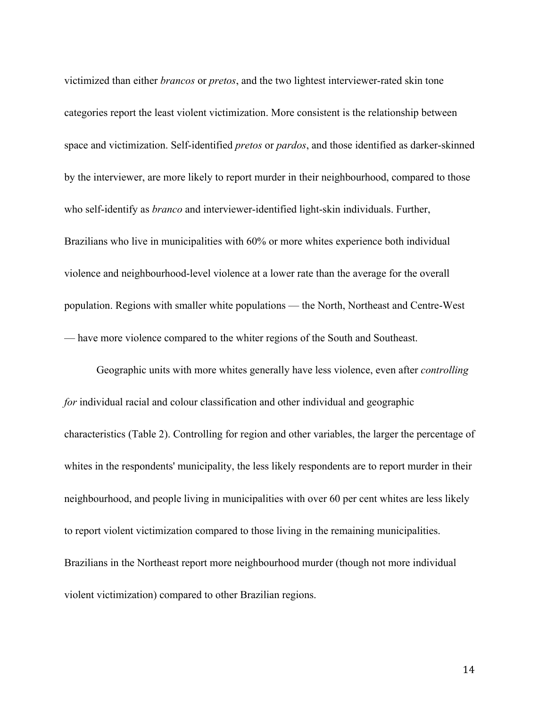victimized than either *brancos* or *pretos*, and the two lightest interviewer-rated skin tone categories report the least violent victimization. More consistent is the relationship between space and victimization. Self-identified *pretos* or *pardos*, and those identified as darker-skinned by the interviewer, are more likely to report murder in their neighbourhood, compared to those who self-identify as *branco* and interviewer-identified light-skin individuals. Further, Brazilians who live in municipalities with 60% or more whites experience both individual violence and neighbourhood-level violence at a lower rate than the average for the overall population. Regions with smaller white populations — the North, Northeast and Centre-West — have more violence compared to the whiter regions of the South and Southeast.

Geographic units with more whites generally have less violence, even after *controlling for* individual racial and colour classification and other individual and geographic characteristics (Table 2). Controlling for region and other variables, the larger the percentage of whites in the respondents' municipality, the less likely respondents are to report murder in their neighbourhood, and people living in municipalities with over 60 per cent whites are less likely to report violent victimization compared to those living in the remaining municipalities. Brazilians in the Northeast report more neighbourhood murder (though not more individual violent victimization) compared to other Brazilian regions.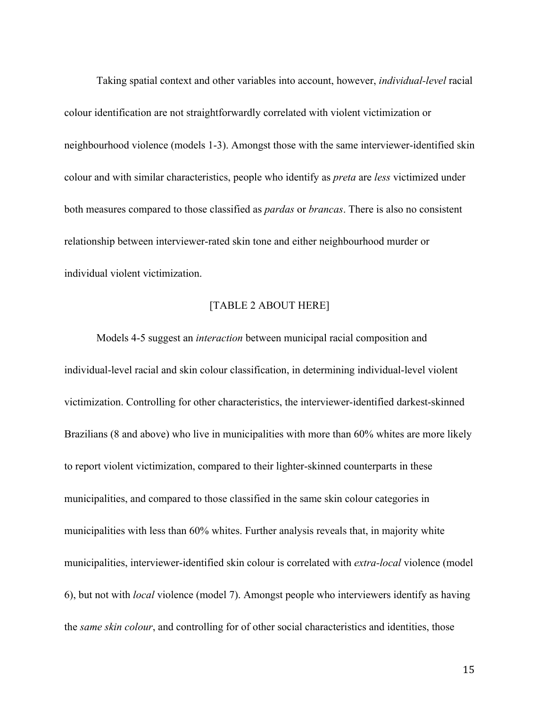Taking spatial context and other variables into account, however, *individual-level* racial colour identification are not straightforwardly correlated with violent victimization or neighbourhood violence (models 1-3). Amongst those with the same interviewer-identified skin colour and with similar characteristics, people who identify as *preta* are *less* victimized under both measures compared to those classified as *pardas* or *brancas*. There is also no consistent relationship between interviewer-rated skin tone and either neighbourhood murder or individual violent victimization.

# [TABLE 2 ABOUT HERE]

Models 4-5 suggest an *interaction* between municipal racial composition and individual-level racial and skin colour classification, in determining individual-level violent victimization. Controlling for other characteristics, the interviewer-identified darkest-skinned Brazilians (8 and above) who live in municipalities with more than 60% whites are more likely to report violent victimization, compared to their lighter-skinned counterparts in these municipalities, and compared to those classified in the same skin colour categories in municipalities with less than 60% whites. Further analysis reveals that, in majority white municipalities, interviewer-identified skin colour is correlated with *extra-local* violence (model 6), but not with *local* violence (model 7). Amongst people who interviewers identify as having the *same skin colour*, and controlling for of other social characteristics and identities, those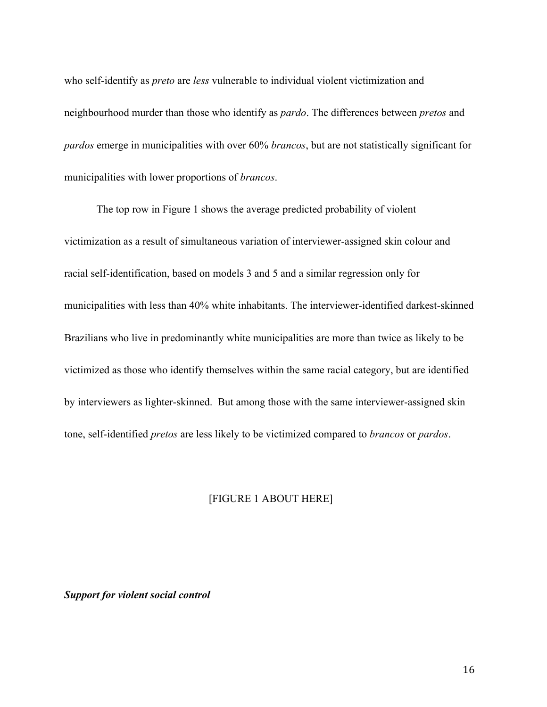who self-identify as *preto* are *less* vulnerable to individual violent victimization and neighbourhood murder than those who identify as *pardo*. The differences between *pretos* and *pardos* emerge in municipalities with over 60% *brancos*, but are not statistically significant for municipalities with lower proportions of *brancos*.

The top row in Figure 1 shows the average predicted probability of violent victimization as a result of simultaneous variation of interviewer-assigned skin colour and racial self-identification, based on models 3 and 5 and a similar regression only for municipalities with less than 40% white inhabitants. The interviewer-identified darkest-skinned Brazilians who live in predominantly white municipalities are more than twice as likely to be victimized as those who identify themselves within the same racial category, but are identified by interviewers as lighter-skinned. But among those with the same interviewer-assigned skin tone, self-identified *pretos* are less likely to be victimized compared to *brancos* or *pardos*.

### [FIGURE 1 ABOUT HERE]

#### *Support for violent social control*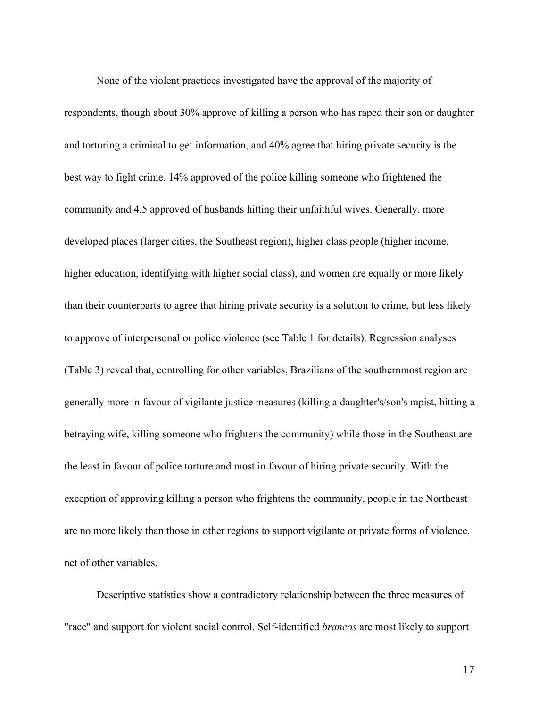None of the violent practices investigated have the approval of the majority of respondents, though about 30% approve of killing a person who has raped their son or daughter and torturing a criminal to get information, and 40% agree that hiring private security is the best way to fight crime. 14% approved of the police killing someone who frightened the community and 4.5 approved of husbands hitting their unfaithful wives. Generally, more developed places (larger cities, the Southeast region), higher class people (higher income, higher education, identifying with higher social class), and women are equally or more likely than their counterparts to agree that hiring private security is a solution to crime, but less likely to approve of interpersonal or police violence (see Table 1 for details). Regression analyses (Table 3) reveal that, controlling for other variables, Brazilians of the southernmost region are generally more in favour of vigilante justice measures (killing a daughter's/son's rapist, hitting a betraying wife, killing someone who frightens the community) while those in the Southeast are the least in favour of police torture and most in favour of hiring private security. With the exception of approving killing a person who frightens the community, people in the Northeast are no more likely than those in other regions to support vigilante or private forms of violence, net of other variables.

Descriptive statistics show a contradictory relationship between the three measures of "race" and support for violent social control. Self-identified *brancos* are most likely to support

17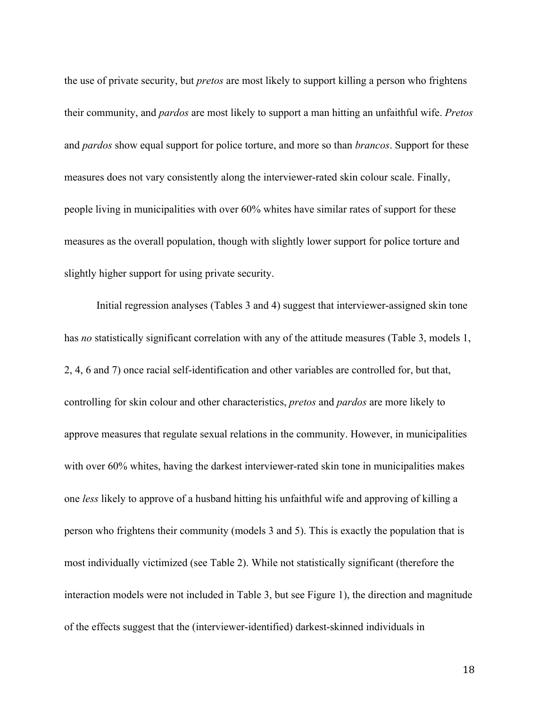the use of private security, but *pretos* are most likely to support killing a person who frightens their community, and *pardos* are most likely to support a man hitting an unfaithful wife. *Pretos* and *pardos* show equal support for police torture, and more so than *brancos*. Support for these measures does not vary consistently along the interviewer-rated skin colour scale. Finally, people living in municipalities with over 60% whites have similar rates of support for these measures as the overall population, though with slightly lower support for police torture and slightly higher support for using private security.

Initial regression analyses (Tables 3 and 4) suggest that interviewer-assigned skin tone has *no* statistically significant correlation with any of the attitude measures (Table 3, models 1, 2, 4, 6 and 7) once racial self-identification and other variables are controlled for, but that, controlling for skin colour and other characteristics, *pretos* and *pardos* are more likely to approve measures that regulate sexual relations in the community. However, in municipalities with over 60% whites, having the darkest interviewer-rated skin tone in municipalities makes one *less* likely to approve of a husband hitting his unfaithful wife and approving of killing a person who frightens their community (models 3 and 5). This is exactly the population that is most individually victimized (see Table 2). While not statistically significant (therefore the interaction models were not included in Table 3, but see Figure 1), the direction and magnitude of the effects suggest that the (interviewer-identified) darkest-skinned individuals in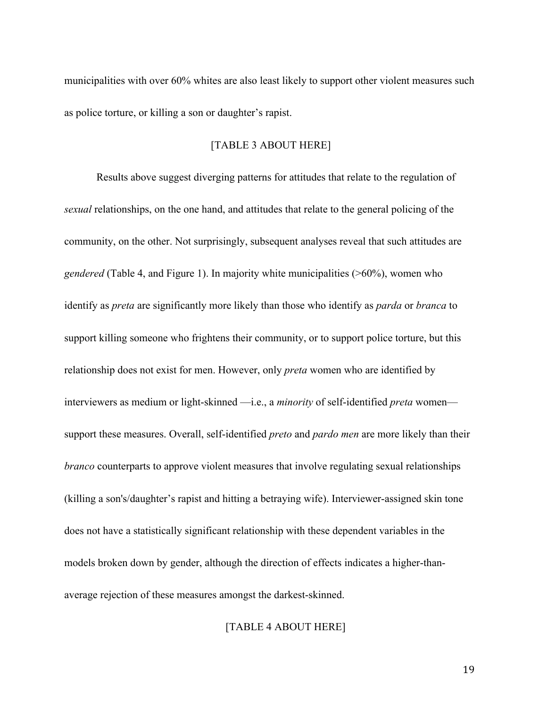municipalities with over 60% whites are also least likely to support other violent measures such as police torture, or killing a son or daughter's rapist.

#### [TABLE 3 ABOUT HERE]

Results above suggest diverging patterns for attitudes that relate to the regulation of *sexual* relationships, on the one hand, and attitudes that relate to the general policing of the community, on the other. Not surprisingly, subsequent analyses reveal that such attitudes are *gendered* (Table 4, and Figure 1). In majority white municipalities (>60%), women who identify as *preta* are significantly more likely than those who identify as *parda* or *branca* to support killing someone who frightens their community, or to support police torture, but this relationship does not exist for men. However, only *preta* women who are identified by interviewers as medium or light-skinned —i.e., a *minority* of self-identified *preta* women support these measures. Overall, self-identified *preto* and *pardo men* are more likely than their *branco* counterparts to approve violent measures that involve regulating sexual relationships (killing a son's/daughter's rapist and hitting a betraying wife). Interviewer-assigned skin tone does not have a statistically significant relationship with these dependent variables in the models broken down by gender, although the direction of effects indicates a higher-thanaverage rejection of these measures amongst the darkest-skinned.

### [TABLE 4 ABOUT HERE]

19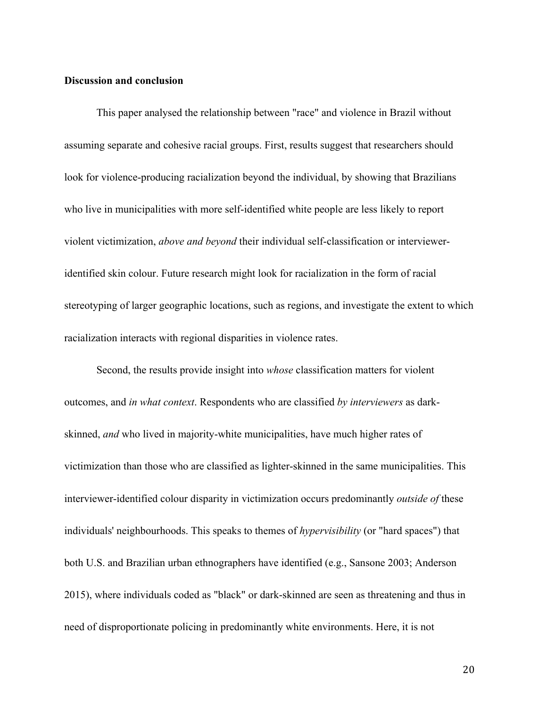## **Discussion and conclusion**

This paper analysed the relationship between "race" and violence in Brazil without assuming separate and cohesive racial groups. First, results suggest that researchers should look for violence-producing racialization beyond the individual, by showing that Brazilians who live in municipalities with more self-identified white people are less likely to report violent victimization, *above and beyond* their individual self-classification or intervieweridentified skin colour. Future research might look for racialization in the form of racial stereotyping of larger geographic locations, such as regions, and investigate the extent to which racialization interacts with regional disparities in violence rates.

Second, the results provide insight into *whose* classification matters for violent outcomes, and *in what context*. Respondents who are classified *by interviewers* as darkskinned, *and* who lived in majority-white municipalities, have much higher rates of victimization than those who are classified as lighter-skinned in the same municipalities. This interviewer-identified colour disparity in victimization occurs predominantly *outside of* these individuals' neighbourhoods. This speaks to themes of *hypervisibility* (or "hard spaces") that both U.S. and Brazilian urban ethnographers have identified (e.g., Sansone 2003; Anderson 2015), where individuals coded as "black" or dark-skinned are seen as threatening and thus in need of disproportionate policing in predominantly white environments. Here, it is not

20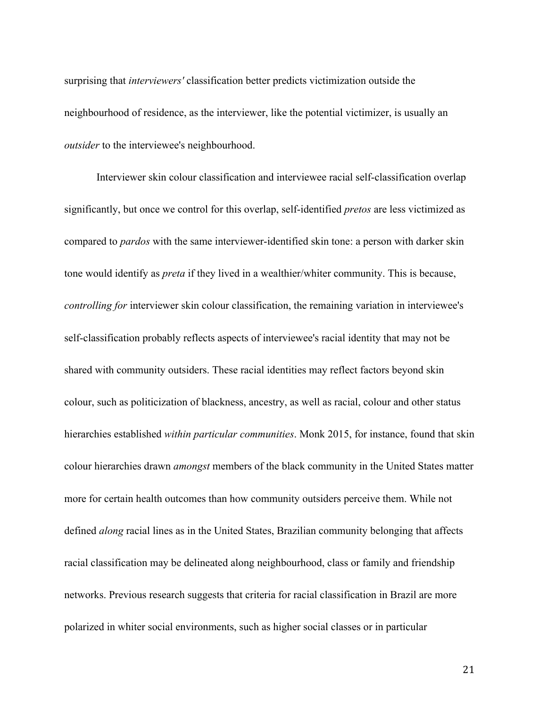surprising that *interviewers'* classification better predicts victimization outside the neighbourhood of residence, as the interviewer, like the potential victimizer, is usually an *outsider* to the interviewee's neighbourhood.

Interviewer skin colour classification and interviewee racial self-classification overlap significantly, but once we control for this overlap, self-identified *pretos* are less victimized as compared to *pardos* with the same interviewer-identified skin tone: a person with darker skin tone would identify as *preta* if they lived in a wealthier/whiter community. This is because, *controlling for* interviewer skin colour classification, the remaining variation in interviewee's self-classification probably reflects aspects of interviewee's racial identity that may not be shared with community outsiders. These racial identities may reflect factors beyond skin colour, such as politicization of blackness, ancestry, as well as racial, colour and other status hierarchies established *within particular communities*. Monk 2015, for instance, found that skin colour hierarchies drawn *amongst* members of the black community in the United States matter more for certain health outcomes than how community outsiders perceive them. While not defined *along* racial lines as in the United States, Brazilian community belonging that affects racial classification may be delineated along neighbourhood, class or family and friendship networks. Previous research suggests that criteria for racial classification in Brazil are more polarized in whiter social environments, such as higher social classes or in particular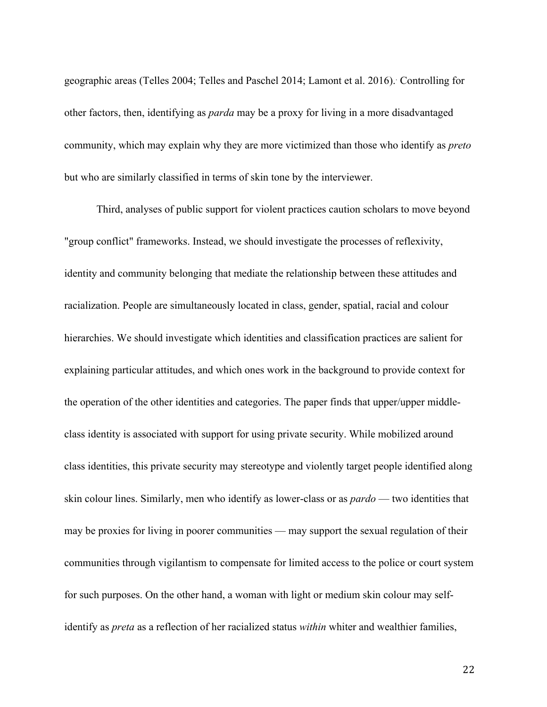geographic areas (Telles 2004; Telles and Paschel 2014; Lamont et al. 2016).. Controlling for other factors, then, identifying as *parda* may be a proxy for living in a more disadvantaged community, which may explain why they are more victimized than those who identify as *preto* but who are similarly classified in terms of skin tone by the interviewer.

Third, analyses of public support for violent practices caution scholars to move beyond "group conflict" frameworks. Instead, we should investigate the processes of reflexivity, identity and community belonging that mediate the relationship between these attitudes and racialization. People are simultaneously located in class, gender, spatial, racial and colour hierarchies. We should investigate which identities and classification practices are salient for explaining particular attitudes, and which ones work in the background to provide context for the operation of the other identities and categories. The paper finds that upper/upper middleclass identity is associated with support for using private security. While mobilized around class identities, this private security may stereotype and violently target people identified along skin colour lines. Similarly, men who identify as lower-class or as *pardo* — two identities that may be proxies for living in poorer communities — may support the sexual regulation of their communities through vigilantism to compensate for limited access to the police or court system for such purposes. On the other hand, a woman with light or medium skin colour may selfidentify as *preta* as a reflection of her racialized status *within* whiter and wealthier families,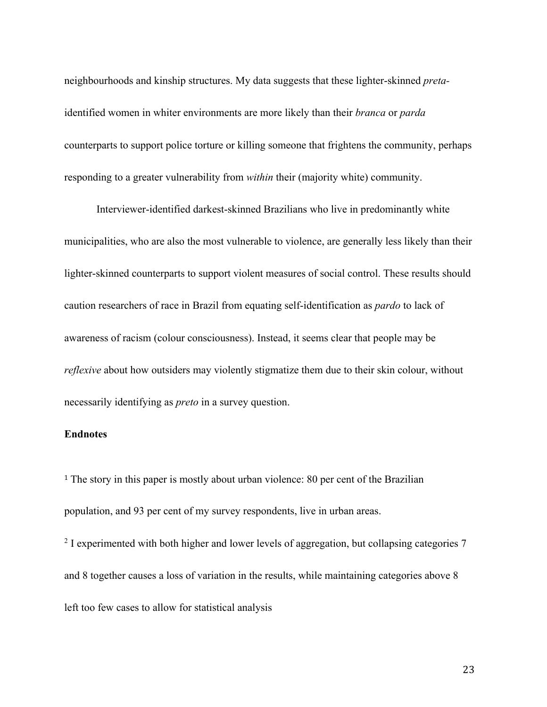neighbourhoods and kinship structures. My data suggests that these lighter-skinned *preta*identified women in whiter environments are more likely than their *branca* or *parda*  counterparts to support police torture or killing someone that frightens the community, perhaps responding to a greater vulnerability from *within* their (majority white) community.

Interviewer-identified darkest-skinned Brazilians who live in predominantly white municipalities, who are also the most vulnerable to violence, are generally less likely than their lighter-skinned counterparts to support violent measures of social control. These results should caution researchers of race in Brazil from equating self-identification as *pardo* to lack of awareness of racism (colour consciousness). Instead, it seems clear that people may be *reflexive* about how outsiders may violently stigmatize them due to their skin colour, without necessarily identifying as *preto* in a survey question.

## **Endnotes**

<sup>1</sup> The story in this paper is mostly about urban violence: 80 per cent of the Brazilian population, and 93 per cent of my survey respondents, live in urban areas.

<sup>2</sup> I experimented with both higher and lower levels of aggregation, but collapsing categories 7 and 8 together causes a loss of variation in the results, while maintaining categories above 8 left too few cases to allow for statistical analysis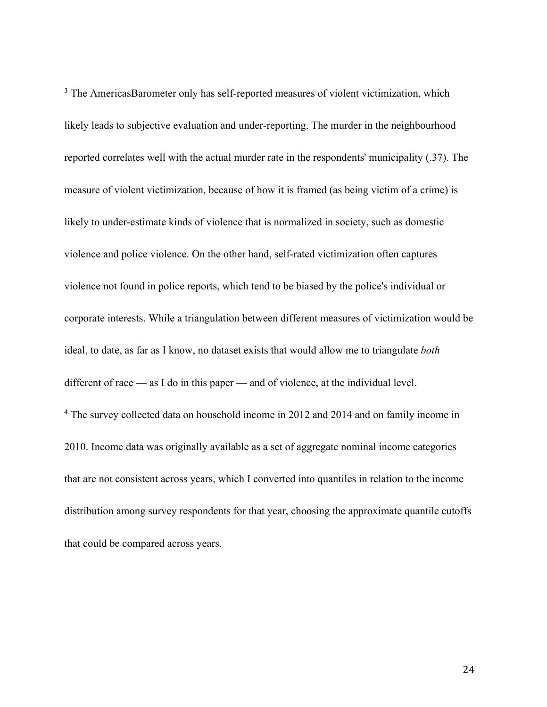<sup>3</sup> The AmericasBarometer only has self-reported measures of violent victimization, which likely leads to subjective evaluation and under-reporting. The murder in the neighbourhood reported correlates well with the actual murder rate in the respondents' municipality (.37). The measure of violent victimization, because of how it is framed (as being victim of a crime) is likely to under-estimate kinds of violence that is normalized in society, such as domestic violence and police violence. On the other hand, self-rated victimization often captures violence not found in police reports, which tend to be biased by the police's individual or corporate interests. While a triangulation between different measures of victimization would be ideal, to date, as far as I know, no dataset exists that would allow me to triangulate *both*  different of race — as I do in this paper — and of violence, at the individual level. <sup>4</sup> The survey collected data on household income in 2012 and 2014 and on family income in 2010. Income data was originally available as a set of aggregate nominal income categories that are not consistent across years, which I converted into quantiles in relation to the income distribution among survey respondents for that year, choosing the approximate quantile cutoffs that could be compared across years.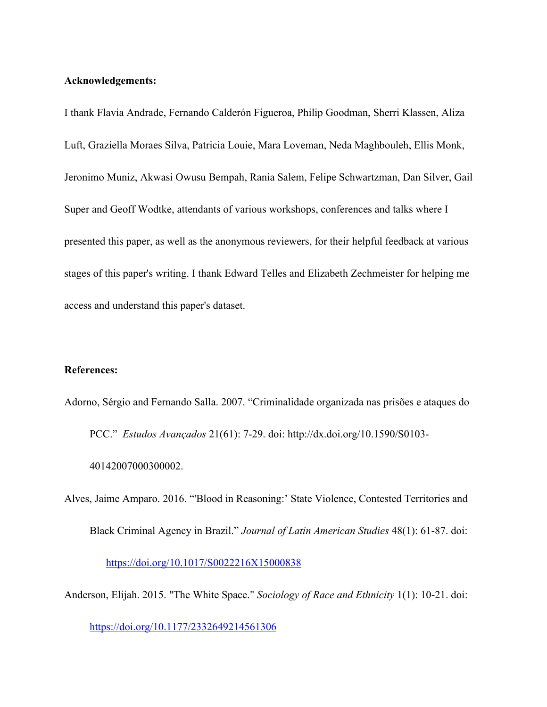#### **Acknowledgements:**

I thank Flavia Andrade, Fernando Calderón Figueroa, Philip Goodman, Sherri Klassen, Aliza Luft, Graziella Moraes Silva, Patricia Louie, Mara Loveman, Neda Maghbouleh, Ellis Monk, Jeronimo Muniz, Akwasi Owusu Bempah, Rania Salem, Felipe Schwartzman, Dan Silver, Gail Super and Geoff Wodtke, attendants of various workshops, conferences and talks where I presented this paper, as well as the anonymous reviewers, for their helpful feedback at various stages of this paper's writing. I thank Edward Telles and Elizabeth Zechmeister for helping me access and understand this paper's dataset.

#### **References:**

Adorno, Sérgio and Fernando Salla. 2007. "Criminalidade organizada nas prisões e ataques do PCC." *Estudos Avançados* 21(61): 7-29. doi: http://dx.doi.org/10.1590/S0103- 40142007000300002.

Alves, Jaime Amparo. 2016. "'Blood in Reasoning:' State Violence, Contested Territories and Black Criminal Agency in Brazil." *Journal of Latin American Studies* 48(1): 61-87. doi: https://doi.org/10.1017/S0022216X15000838

Anderson, Elijah. 2015. "The White Space." *Sociology of Race and Ethnicity* 1(1): 10-21. doi:

https://doi.org/10.1177/2332649214561306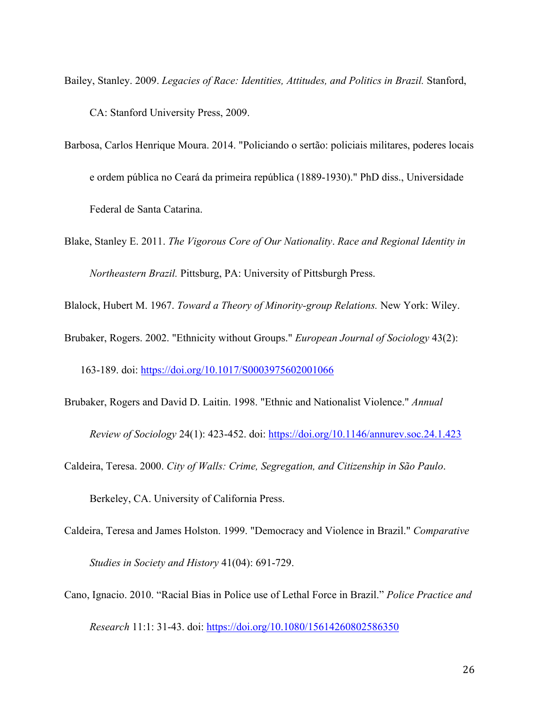Bailey, Stanley. 2009. *Legacies of Race: Identities, Attitudes, and Politics in Brazil.* Stanford, CA: Stanford University Press, 2009.

- Barbosa, Carlos Henrique Moura. 2014. "Policiando o sertão: policiais militares, poderes locais e ordem pública no Ceará da primeira república (1889-1930)." PhD diss., Universidade Federal de Santa Catarina.
- Blake, Stanley E. 2011. *The Vigorous Core of Our Nationality*. *Race and Regional Identity in Northeastern Brazil.* Pittsburg, PA: University of Pittsburgh Press.

Blalock, Hubert M. 1967. *Toward a Theory of Minority-group Relations.* New York: Wiley.

Brubaker, Rogers. 2002. "Ethnicity without Groups." *European Journal of Sociology* 43(2):

163-189. doi: https://doi.org/10.1017/S0003975602001066

Brubaker, Rogers and David D. Laitin. 1998. "Ethnic and Nationalist Violence." *Annual* 

*Review of Sociology* 24(1): 423-452. doi: https://doi.org/10.1146/annurev.soc.24.1.423

Caldeira, Teresa. 2000. *City of Walls: Crime, Segregation, and Citizenship in São Paulo*.

Berkeley, CA. University of California Press.

- Caldeira, Teresa and James Holston. 1999. "Democracy and Violence in Brazil." *Comparative Studies in Society and History* 41(04): 691-729.
- Cano, Ignacio. 2010. "Racial Bias in Police use of Lethal Force in Brazil." *Police Practice and Research* 11:1: 31-43. doi: https://doi.org/10.1080/15614260802586350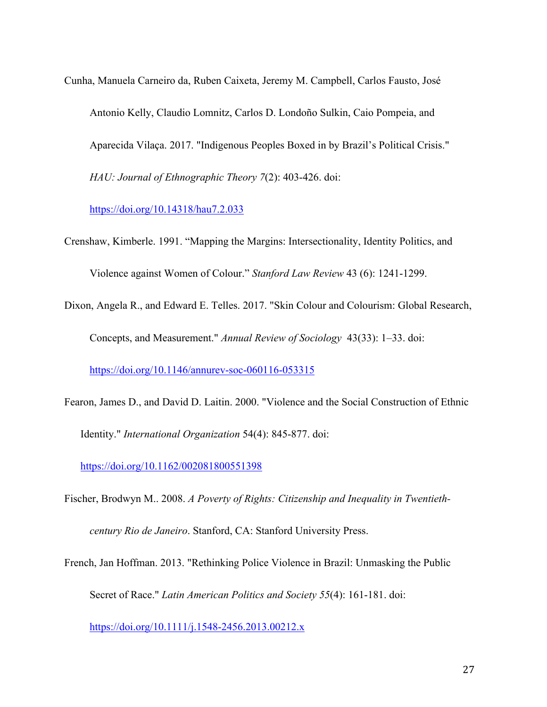Cunha, Manuela Carneiro da, Ruben Caixeta, Jeremy M. Campbell, Carlos Fausto, José Antonio Kelly, Claudio Lomnitz, Carlos D. Londoño Sulkin, Caio Pompeia, and Aparecida Vilaça. 2017. "Indigenous Peoples Boxed in by Brazil's Political Crisis." *HAU: Journal of Ethnographic Theory 7*(2): 403-426. doi:

https://doi.org/10.14318/hau7.2.033

Crenshaw, Kimberle. 1991. "Mapping the Margins: Intersectionality, Identity Politics, and Violence against Women of Colour." *Stanford Law Review* 43 (6): 1241-1299.

Dixon, Angela R., and Edward E. Telles. 2017. "Skin Colour and Colourism: Global Research, Concepts, and Measurement." *Annual Review of Sociology* 43(33): 1–33. doi:

https://doi.org/10.1146/annurev-soc-060116-053315

Fearon, James D., and David D. Laitin. 2000. "Violence and the Social Construction of Ethnic Identity." *International Organization* 54(4): 845-877. doi:

https://doi.org/10.1162/002081800551398

- Fischer, Brodwyn M.. 2008. *A Poverty of Rights: Citizenship and Inequality in Twentiethcentury Rio de Janeiro*. Stanford, CA: Stanford University Press.
- French, Jan Hoffman. 2013. "Rethinking Police Violence in Brazil: Unmasking the Public Secret of Race." *Latin American Politics and Society 55*(4): 161-181. doi:

https://doi.org/10.1111/j.1548-2456.2013.00212.x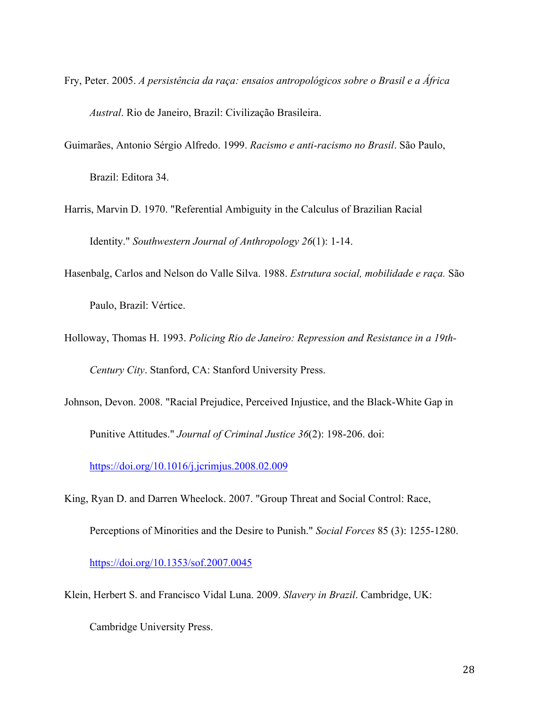Fry, Peter. 2005. *A persistência da raça: ensaios antropológicos sobre o Brasil e a África Austral*. Rio de Janeiro, Brazil: Civilização Brasileira.

Guimarães, Antonio Sérgio Alfredo. 1999. *Racismo e anti-racismo no Brasil*. São Paulo,

Brazil: Editora 34.

Harris, Marvin D. 1970. "Referential Ambiguity in the Calculus of Brazilian Racial Identity." *Southwestern Journal of Anthropology 26*(1): 1-14.

- Hasenbalg, Carlos and Nelson do Valle Silva. 1988. *Estrutura social, mobilidade e raça.* São Paulo, Brazil: Vértice.
- Holloway, Thomas H. 1993. *Policing Rio de Janeiro: Repression and Resistance in a 19th-Century City*. Stanford, CA: Stanford University Press.
- Johnson, Devon. 2008. "Racial Prejudice, Perceived Injustice, and the Black-White Gap in

Punitive Attitudes." *Journal of Criminal Justice 36*(2): 198-206. doi:

https://doi.org/10.1016/j.jcrimjus.2008.02.009

King, Ryan D. and Darren Wheelock. 2007. "Group Threat and Social Control: Race,

Perceptions of Minorities and the Desire to Punish." *Social Forces* 85 (3): 1255-1280.

https://doi.org/10.1353/sof.2007.0045

Klein, Herbert S. and Francisco Vidal Luna. 2009. *Slavery in Brazil*. Cambridge, UK:

Cambridge University Press.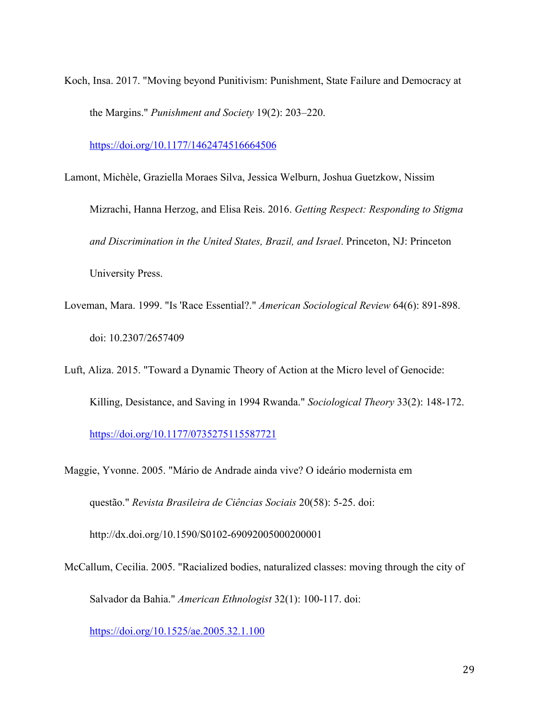Koch, Insa. 2017. "Moving beyond Punitivism: Punishment, State Failure and Democracy at the Margins." *Punishment and Society* 19(2): 203–220.

https://doi.org/10.1177/1462474516664506

Lamont, Michèle, Graziella Moraes Silva, Jessica Welburn, Joshua Guetzkow, Nissim

Mizrachi, Hanna Herzog, and Elisa Reis. 2016. *Getting Respect: Responding to Stigma and Discrimination in the United States, Brazil, and Israel*. Princeton, NJ: Princeton University Press.

Loveman, Mara. 1999. "Is 'Race Essential?." *American Sociological Review* 64(6): 891-898. doi: 10.2307/2657409

Luft, Aliza. 2015. "Toward a Dynamic Theory of Action at the Micro level of Genocide:

Killing, Desistance, and Saving in 1994 Rwanda." *Sociological Theory* 33(2): 148-172.

https://doi.org/10.1177/0735275115587721

Maggie, Yvonne. 2005. "Mário de Andrade ainda vive? O ideário modernista em questão." *Revista Brasileira de Ciências Sociais* 20(58): 5-25. doi: http://dx.doi.org/10.1590/S0102-69092005000200001

McCallum, Cecilia. 2005. "Racialized bodies, naturalized classes: moving through the city of

Salvador da Bahia." *American Ethnologist* 32(1): 100-117. doi:

https://doi.org/10.1525/ae.2005.32.1.100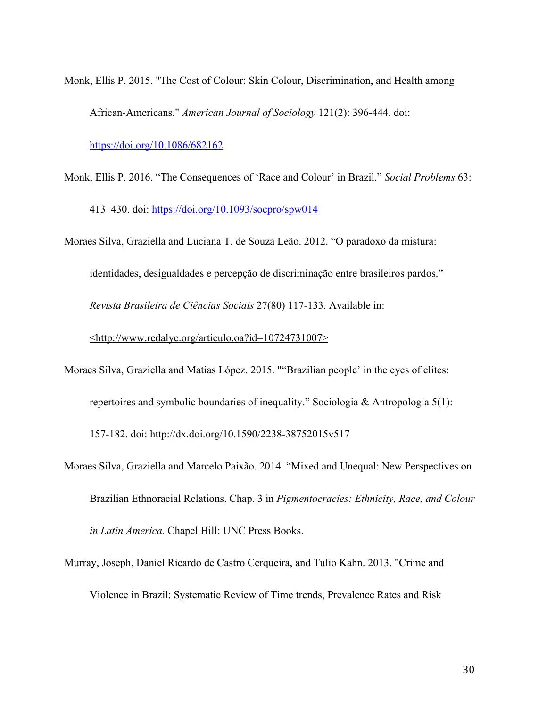Monk, Ellis P. 2015. "The Cost of Colour: Skin Colour, Discrimination, and Health among African-Americans." *American Journal of Sociology* 121(2): 396-444. doi:

https://doi.org/10.1086/682162

- Monk, Ellis P. 2016. "The Consequences of 'Race and Colour' in Brazil." *Social Problems* 63: 413–430. doi: https://doi.org/10.1093/socpro/spw014
- Moraes Silva, Graziella and Luciana T. de Souza Leão. 2012. "O paradoxo da mistura:

identidades, desigualdades e percepção de discriminação entre brasileiros pardos." *Revista Brasileira de Ciências Sociais* 27(80) 117-133. Available in:

<http://www.redalyc.org/articulo.oa?id=10724731007>

- Moraes Silva, Graziella and Matias López. 2015. ""Brazilian people' in the eyes of elites: repertoires and symbolic boundaries of inequality." Sociologia & Antropologia 5(1): 157-182. doi: http://dx.doi.org/10.1590/2238-38752015v517
- Moraes Silva, Graziella and Marcelo Paixão. 2014. "Mixed and Unequal: New Perspectives on Brazilian Ethnoracial Relations. Chap. 3 in *Pigmentocracies: Ethnicity, Race, and Colour in Latin America.* Chapel Hill: UNC Press Books.
- Murray, Joseph, Daniel Ricardo de Castro Cerqueira, and Tulio Kahn. 2013. "Crime and Violence in Brazil: Systematic Review of Time trends, Prevalence Rates and Risk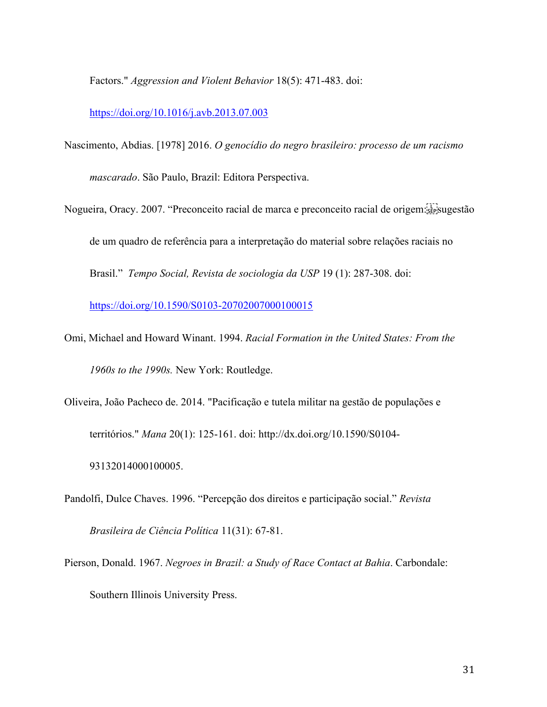Factors." *Aggression and Violent Behavior* 18(5): 471-483. doi:

#### https://doi.org/10.1016/j.avb.2013.07.003

- Nascimento, Abdias. [1978] 2016. *O genocídio do negro brasileiro: processo de um racismo mascarado*. São Paulo, Brazil: Editora Perspectiva.
- Nogueira, Oracy. 2007. "Preconceito racial de marca e preconceito racial de origem: stepsugestão de um quadro de referência para a interpretação do material sobre relações raciais no Brasil." *Tempo Social, Revista de sociologia da USP* 19 (1): 287-308. doi:

https://doi.org/10.1590/S0103-20702007000100015

- Omi, Michael and Howard Winant. 1994. *Racial Formation in the United States: From the 1960s to the 1990s.* New York: Routledge.
- Oliveira, João Pacheco de. 2014. "Pacificação e tutela militar na gestão de populações e territórios." *Mana* 20(1): 125-161. doi: http://dx.doi.org/10.1590/S0104- 93132014000100005.
- Pandolfi, Dulce Chaves. 1996. "Percepção dos direitos e participação social." *Revista Brasileira de Ciência Política* 11(31): 67-81.
- Pierson, Donald. 1967. *Negroes in Brazil: a Study of Race Contact at Bahia*. Carbondale: Southern Illinois University Press.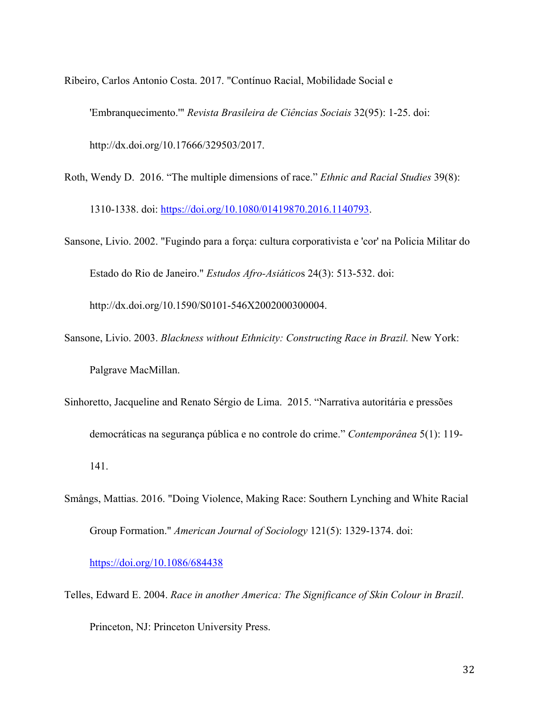Ribeiro, Carlos Antonio Costa. 2017. "Contínuo Racial, Mobilidade Social e

'Embranquecimento.'" *Revista Brasileira de Ciências Sociais* 32(95): 1-25. doi:

http://dx.doi.org/10.17666/329503/2017.

- Roth, Wendy D. 2016. "The multiple dimensions of race." *Ethnic and Racial Studies* 39(8): 1310-1338. doi: https://doi.org/10.1080/01419870.2016.1140793.
- Sansone, Livio. 2002. "Fugindo para a força: cultura corporativista e 'cor' na Policia Militar do Estado do Rio de Janeiro." *Estudos Afro-Asiático*s 24(3): 513-532. doi:

http://dx.doi.org/10.1590/S0101-546X2002000300004.

- Sansone, Livio. 2003. *Blackness without Ethnicity: Constructing Race in Brazil.* New York: Palgrave MacMillan.
- Sinhoretto, Jacqueline and Renato Sérgio de Lima. 2015. "Narrativa autoritária e pressões democráticas na segurança pública e no controle do crime." *Contemporânea* 5(1): 119- 141.
- Smångs, Mattias. 2016. "Doing Violence, Making Race: Southern Lynching and White Racial Group Formation." *American Journal of Sociology* 121(5): 1329-1374. doi:

https://doi.org/10.1086/684438

Telles, Edward E. 2004. *Race in another America: The Significance of Skin Colour in Brazil*. Princeton, NJ: Princeton University Press.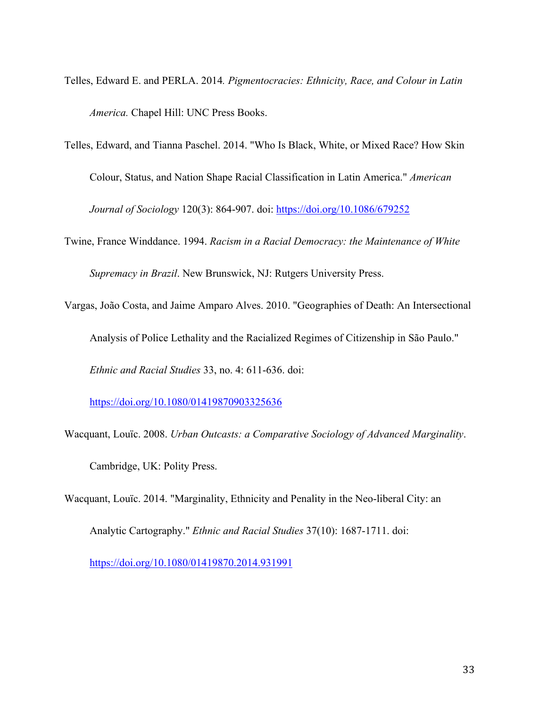- Telles, Edward E. and PERLA. 2014*. Pigmentocracies: Ethnicity, Race, and Colour in Latin America.* Chapel Hill: UNC Press Books.
- Telles, Edward, and Tianna Paschel. 2014. "Who Is Black, White, or Mixed Race? How Skin Colour, Status, and Nation Shape Racial Classification in Latin America." *American Journal of Sociology* 120(3): 864-907. doi: https://doi.org/10.1086/679252
- Twine, France Winddance. 1994. *Racism in a Racial Democracy: the Maintenance of White Supremacy in Brazil*. New Brunswick, NJ: Rutgers University Press.
- Vargas, João Costa, and Jaime Amparo Alves. 2010. "Geographies of Death: An Intersectional Analysis of Police Lethality and the Racialized Regimes of Citizenship in São Paulo." *Ethnic and Racial Studies* 33, no. 4: 611-636. doi:

https://doi.org/10.1080/01419870903325636

- Wacquant, Louïc. 2008. *Urban Outcasts: a Comparative Sociology of Advanced Marginality*. Cambridge, UK: Polity Press.
- Wacquant, Louïc. 2014. "Marginality, Ethnicity and Penality in the Neo-liberal City: an Analytic Cartography." *Ethnic and Racial Studies* 37(10): 1687-1711. doi:

https://doi.org/10.1080/01419870.2014.931991